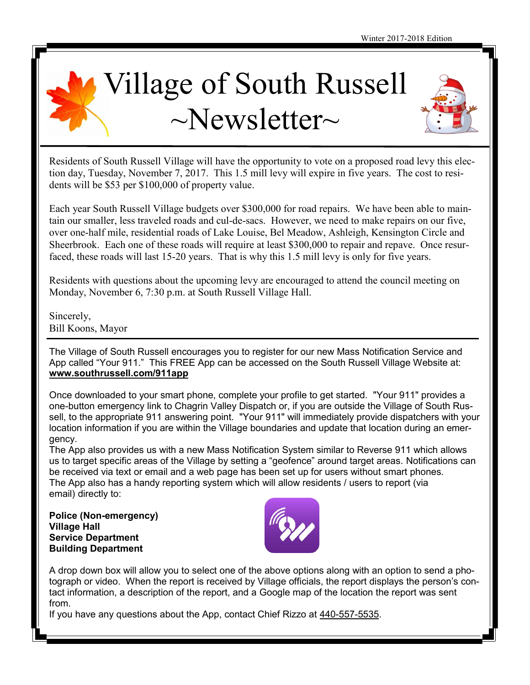



Residents of South Russell Village will have the opportunity to vote on a proposed road levy this election day, Tuesday, November 7, 2017. This 1.5 mill levy will expire in five years. The cost to residents will be \$53 per \$100,000 of property value.

Each year South Russell Village budgets over \$300,000 for road repairs. We have been able to maintain our smaller, less traveled roads and cul-de-sacs. However, we need to make repairs on our five, over one-half mile, residential roads of Lake Louise, Bel Meadow, Ashleigh, Kensington Circle and Sheerbrook. Each one of these roads will require at least \$300,000 to repair and repave. Once resurfaced, these roads will last 15-20 years. That is why this 1.5 mill levy is only for five years.

Residents with questions about the upcoming levy are encouraged to attend the council meeting on Monday, November 6, 7:30 p.m. at South Russell Village Hall.

Sincerely, Bill Koons, Mayor

The Village of South Russell encourages you to register for our new Mass Notification Service and App called "Your 911." This FREE App can be accessed on the South Russell Village Website at: **[www.southrussell.com/911app](http://www.southrussell.com/911app)**

Once downloaded to your smart phone, complete your profile to get started. "Your 911" provides a one-button emergency link to Chagrin Valley Dispatch or, if you are outside the Village of South Russell, to the appropriate 911 answering point. "Your 911" will immediately provide dispatchers with your location information if you are within the Village boundaries and update that location during an emergency.

The App also provides us with a new Mass Notification System similar to Reverse 911 which allows us to target specific areas of the Village by setting a "geofence" around target areas. Notifications can be received via text or email and a web page has been set up for users without smart phones. The App also has a handy reporting system which will allow residents / users to report (via email) directly to:

**Police (Non-emergency) Village Hall Service Department Building Department**



A drop down box will allow you to select one of the above options along with an option to send a photograph or video. When the report is received by Village officials, the report displays the person's contact information, a description of the report, and a Google map of the location the report was sent from.

If you have any questions about the App, contact Chief Rizzo at [440-557-5535.](tel:(440)%20557-5535)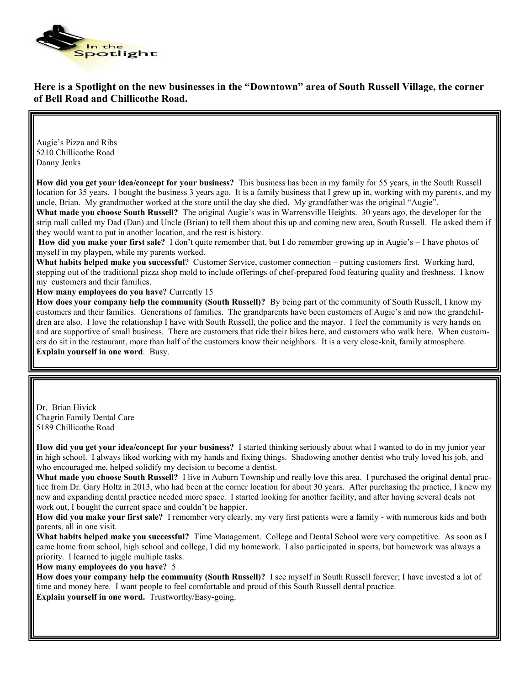

## **Here is a Spotlight on the new businesses in the "Downtown" area of South Russell Village, the corner of Bell Road and Chillicothe Road.**

Augie's Pizza and Ribs 5210 Chillicothe Road Danny Jenks

**How did you get your idea/concept for your business?** This business has been in my family for 55 years, in the South Russell location for 35 years. I bought the business 3 years ago. It is a family business that I grew up in, working with my parents, and my uncle, Brian. My grandmother worked at the store until the day she died. My grandfather was the original "Augie".

**What made you choose South Russell?** The original Augie's was in Warrensville Heights. 30 years ago, the developer for the strip mall called my Dad (Dan) and Uncle (Brian) to tell them about this up and coming new area, South Russell. He asked them if they would want to put in another location, and the rest is history.

**How did you make your first sale?** I don't quite remember that, but I do remember growing up in Augie's – I have photos of myself in my playpen, while my parents worked.

**What habits helped make you successful**? Customer Service, customer connection – putting customers first. Working hard, stepping out of the traditional pizza shop mold to include offerings of chef-prepared food featuring quality and freshness. I know my customers and their families.

**How many employees do you have?** Currently 15

**How does your company help the community (South Russell)?** By being part of the community of South Russell, I know my customers and their families. Generations of families. The grandparents have been customers of Augie's and now the grandchildren are also. I love the relationship I have with South Russell, the police and the mayor. I feel the community is very hands on and are supportive of small business. There are customers that ride their bikes here, and customers who walk here. When customers do sit in the restaurant, more than half of the customers know their neighbors. It is a very close-knit, family atmosphere. **Explain yourself in one word**. Busy.

Dr. Brian Hivick Chagrin Family Dental Care 5189 Chillicothe Road

**How did you get your idea/concept for your business?** I started thinking seriously about what I wanted to do in my junior year in high school. I always liked working with my hands and fixing things. Shadowing another dentist who truly loved his job, and who encouraged me, helped solidify my decision to become a dentist.

**What made you choose South Russell?** I live in Auburn Township and really love this area. I purchased the original dental practice from Dr. Gary Holtz in 2013, who had been at the corner location for about 30 years. After purchasing the practice, I knew my new and expanding dental practice needed more space. I started looking for another facility, and after having several deals not work out, I bought the current space and couldn't be happier.

**How did you make your first sale?** I remember very clearly, my very first patients were a family - with numerous kids and both parents, all in one visit.

**What habits helped make you successful?** Time Management. College and Dental School were very competitive. As soon as I came home from school, high school and college, I did my homework. I also participated in sports, but homework was always a priority. I learned to juggle multiple tasks.

**How many employees do you have?** 5

**How does your company help the community (South Russell)?** I see myself in South Russell forever; I have invested a lot of time and money here. I want people to feel comfortable and proud of this South Russell dental practice. **Explain yourself in one word.** Trustworthy/Easy-going.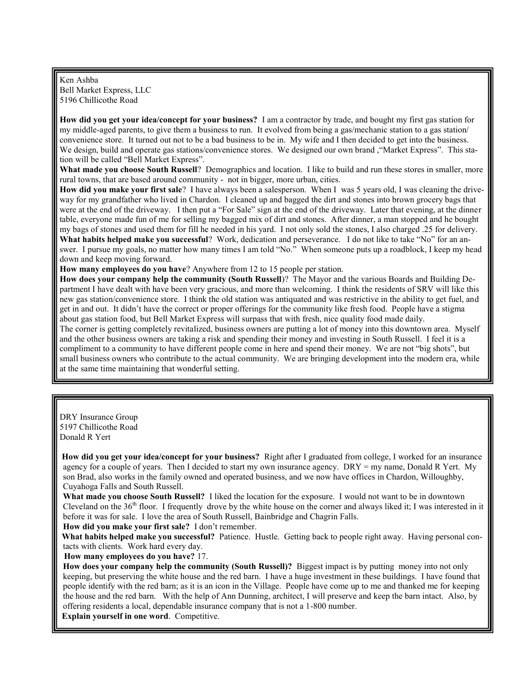Ken Ashba Bell Market Express, LLC 5196 Chillicothe Road

**How did you get your idea/concept for your business?** I am a contractor by trade, and bought my first gas station for my middle-aged parents, to give them a business to run. It evolved from being a gas/mechanic station to a gas station/ convenience store. It turned out not to be a bad business to be in. My wife and I then decided to get into the business. We design, build and operate gas stations/convenience stores. We designed our own brand ,"Market Express". This station will be called "Bell Market Express".

**What made you choose South Russell**? Demographics and location. I like to build and run these stores in smaller, more rural towns, that are based around community - not in bigger, more urban, cities.

**How did you make your first sale**? I have always been a salesperson. When I was 5 years old, I was cleaning the driveway for my grandfather who lived in Chardon. I cleaned up and bagged the dirt and stones into brown grocery bags that were at the end of the driveway. I then put a "For Sale" sign at the end of the driveway. Later that evening, at the dinner table, everyone made fun of me for selling my bagged mix of dirt and stones. After dinner, a man stopped and he bought my bags of stones and used them for fill he needed in his yard. I not only sold the stones, I also charged .25 for delivery. **What habits helped make you successful**? Work, dedication and perseverance. I do not like to take "No" for an answer. I pursue my goals, no matter how many times I am told "No." When someone puts up a roadblock, I keep my head down and keep moving forward.

**How many employees do you have**? Anywhere from 12 to 15 people per station.

**How does your company help the community (South Russell**)? The Mayor and the various Boards and Building Department I have dealt with have been very gracious, and more than welcoming. I think the residents of SRV will like this new gas station/convenience store. I think the old station was antiquated and was restrictive in the ability to get fuel, and get in and out. It didn't have the correct or proper offerings for the community like fresh food. People have a stigma about gas station food, but Bell Market Express will surpass that with fresh, nice quality food made daily.

The corner is getting completely revitalized, business owners are putting a lot of money into this downtown area. Myself and the other business owners are taking a risk and spending their money and investing in South Russell. I feel it is a compliment to a community to have different people come in here and spend their money. We are not "big shots", but small business owners who contribute to the actual community. We are bringing development into the modern era, while at the same time maintaining that wonderful setting.

DRY Insurance Group 5197 Chillicothe Road Donald R Yert

**How did you get your idea/concept for your business?** Right after I graduated from college, I worked for an insurance agency for a couple of years. Then I decided to start my own insurance agency. DRY = my name, Donald R Yert. My son Brad, also works in the family owned and operated business, and we now have offices in Chardon, Willoughby, Cuyahoga Falls and South Russell.

**What made you choose South Russell?** I liked the location for the exposure. I would not want to be in downtown Cleveland on the  $36<sup>th</sup>$  floor. I frequently drove by the white house on the corner and always liked it; I was interested in it before it was for sale. I love the area of South Russell, Bainbridge and Chagrin Falls.

**How did you make your first sale?** I don't remember.

**What habits helped make you successful?** Patience. Hustle. Getting back to people right away. Having personal contacts with clients. Work hard every day.

**How many employees do you have?** 17.

**How does your company help the community (South Russell)?** Biggest impact is by putting money into not only keeping, but preserving the white house and the red barn. I have a huge investment in these buildings. I have found that people identify with the red barn; as it is an icon in the Village. People have come up to me and thanked me for keeping the house and the red barn. With the help of Ann Dunning, architect, I will preserve and keep the barn intact. Also, by offering residents a local, dependable insurance company that is not a 1-800 number.

**Explain yourself in one word**. Competitive.